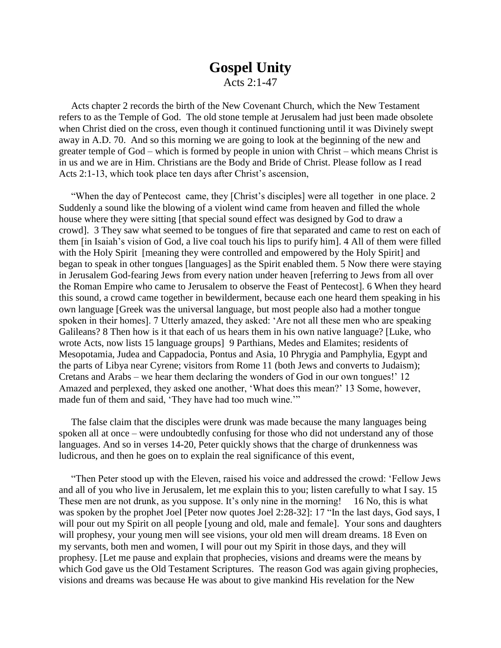## **Gospel Unity**

Acts 2:1-47

Acts chapter 2 records the birth of the New Covenant Church, which the New Testament refers to as the Temple of God. The old stone temple at Jerusalem had just been made obsolete when Christ died on the cross, even though it continued functioning until it was Divinely swept away in A.D. 70. And so this morning we are going to look at the beginning of the new and greater temple of God – which is formed by people in union with Christ – which means Christ is in us and we are in Him. Christians are the Body and Bride of Christ. Please follow as I read Acts 2:1-13, which took place ten days after Christ's ascension,

"When the day of Pentecost came, they [Christ's disciples] were all together in one place. 2 Suddenly a sound like the blowing of a violent wind came from heaven and filled the whole house where they were sitting [that special sound effect was designed by God to draw a crowd]. 3 They saw what seemed to be tongues of fire that separated and came to rest on each of them [in Isaiah's vision of God, a live coal touch his lips to purify him]. 4 All of them were filled with the Holy Spirit [meaning they were controlled and empowered by the Holy Spirit] and began to speak in other tongues [languages] as the Spirit enabled them. 5 Now there were staying in Jerusalem God-fearing Jews from every nation under heaven [referring to Jews from all over the Roman Empire who came to Jerusalem to observe the Feast of Pentecost]. 6 When they heard this sound, a crowd came together in bewilderment, because each one heard them speaking in his own language [Greek was the universal language, but most people also had a mother tongue spoken in their homes]. 7 Utterly amazed, they asked: 'Are not all these men who are speaking Galileans? 8 Then how is it that each of us hears them in his own native language? [Luke, who wrote Acts, now lists 15 language groups] 9 Parthians, Medes and Elamites; residents of Mesopotamia, Judea and Cappadocia, Pontus and Asia, 10 Phrygia and Pamphylia, Egypt and the parts of Libya near Cyrene; visitors from Rome 11 (both Jews and converts to Judaism); Cretans and Arabs – we hear them declaring the wonders of God in our own tongues!' 12 Amazed and perplexed, they asked one another, 'What does this mean?' 13 Some, however, made fun of them and said, 'They have had too much wine.'"

The false claim that the disciples were drunk was made because the many languages being spoken all at once – were undoubtedly confusing for those who did not understand any of those languages. And so in verses 14-20, Peter quickly shows that the charge of drunkenness was ludicrous, and then he goes on to explain the real significance of this event,

"Then Peter stood up with the Eleven, raised his voice and addressed the crowd: 'Fellow Jews and all of you who live in Jerusalem, let me explain this to you; listen carefully to what I say. 15 These men are not drunk, as you suppose. It's only nine in the morning! 16 No, this is what was spoken by the prophet Joel [Peter now quotes Joel 2:28-32]: 17 "In the last days, God says, I will pour out my Spirit on all people [young and old, male and female]. Your sons and daughters will prophesy, your young men will see visions, your old men will dream dreams. 18 Even on my servants, both men and women, I will pour out my Spirit in those days, and they will prophesy. [Let me pause and explain that prophecies, visions and dreams were the means by which God gave us the Old Testament Scriptures. The reason God was again giving prophecies, visions and dreams was because He was about to give mankind His revelation for the New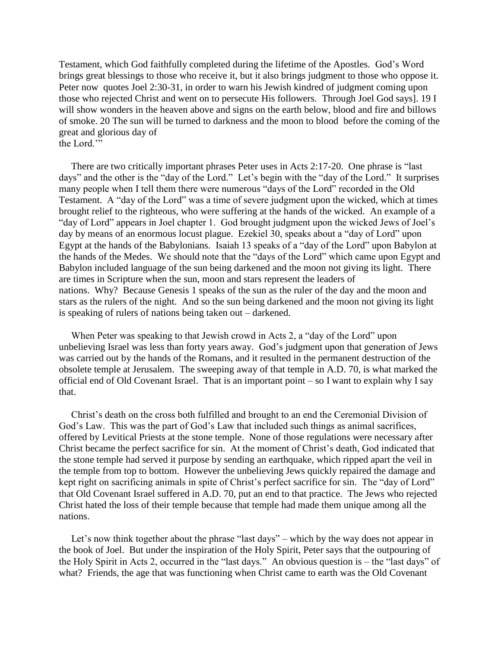Testament, which God faithfully completed during the lifetime of the Apostles. God's Word brings great blessings to those who receive it, but it also brings judgment to those who oppose it. Peter now quotes Joel 2:30-31, in order to warn his Jewish kindred of judgment coming upon those who rejected Christ and went on to persecute His followers. Through Joel God says]. 19 I will show wonders in the heaven above and signs on the earth below, blood and fire and billows of smoke. 20 The sun will be turned to darkness and the moon to blood before the coming of the great and glorious day of the Lord."

There are two critically important phrases Peter uses in Acts 2:17-20. One phrase is "last days" and the other is the "day of the Lord." Let's begin with the "day of the Lord." It surprises many people when I tell them there were numerous "days of the Lord" recorded in the Old Testament. A "day of the Lord" was a time of severe judgment upon the wicked, which at times brought relief to the righteous, who were suffering at the hands of the wicked. An example of a "day of Lord" appears in Joel chapter 1. God brought judgment upon the wicked Jews of Joel's day by means of an enormous locust plague. Ezekiel 30, speaks about a "day of Lord" upon Egypt at the hands of the Babylonians. Isaiah 13 speaks of a "day of the Lord" upon Babylon at the hands of the Medes. We should note that the "days of the Lord" which came upon Egypt and Babylon included language of the sun being darkened and the moon not giving its light. There are times in Scripture when the sun, moon and stars represent the leaders of nations. Why? Because Genesis 1 speaks of the sun as the ruler of the day and the moon and stars as the rulers of the night. And so the sun being darkened and the moon not giving its light is speaking of rulers of nations being taken out – darkened.

When Peter was speaking to that Jewish crowd in Acts 2, a "day of the Lord" upon unbelieving Israel was less than forty years away. God's judgment upon that generation of Jews was carried out by the hands of the Romans, and it resulted in the permanent destruction of the obsolete temple at Jerusalem. The sweeping away of that temple in A.D. 70, is what marked the official end of Old Covenant Israel. That is an important point – so I want to explain why I say that.

Christ's death on the cross both fulfilled and brought to an end the Ceremonial Division of God's Law. This was the part of God's Law that included such things as animal sacrifices, offered by Levitical Priests at the stone temple. None of those regulations were necessary after Christ became the perfect sacrifice for sin. At the moment of Christ's death, God indicated that the stone temple had served it purpose by sending an earthquake, which ripped apart the veil in the temple from top to bottom. However the unbelieving Jews quickly repaired the damage and kept right on sacrificing animals in spite of Christ's perfect sacrifice for sin. The "day of Lord" that Old Covenant Israel suffered in A.D. 70, put an end to that practice. The Jews who rejected Christ hated the loss of their temple because that temple had made them unique among all the nations.

Let's now think together about the phrase "last days" – which by the way does not appear in the book of Joel. But under the inspiration of the Holy Spirit, Peter says that the outpouring of the Holy Spirit in Acts 2, occurred in the "last days." An obvious question is – the "last days" of what? Friends, the age that was functioning when Christ came to earth was the Old Covenant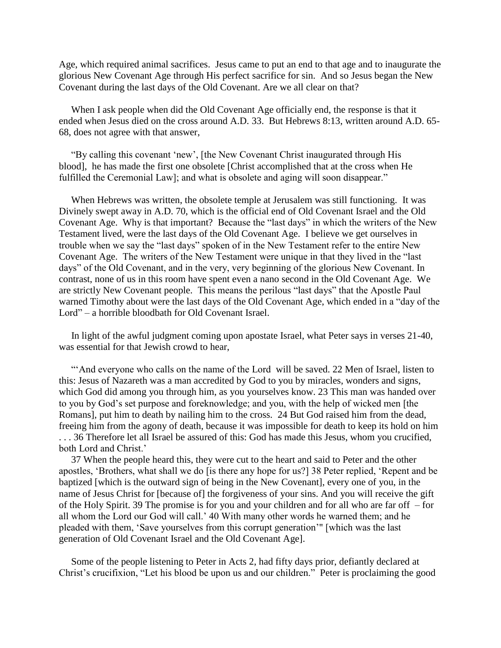Age, which required animal sacrifices. Jesus came to put an end to that age and to inaugurate the glorious New Covenant Age through His perfect sacrifice for sin. And so Jesus began the New Covenant during the last days of the Old Covenant. Are we all clear on that?

When I ask people when did the Old Covenant Age officially end, the response is that it ended when Jesus died on the cross around A.D. 33. But Hebrews 8:13, written around A.D. 65- 68, does not agree with that answer,

"By calling this covenant 'new', [the New Covenant Christ inaugurated through His blood], he has made the first one obsolete [Christ accomplished that at the cross when He fulfilled the Ceremonial Law]; and what is obsolete and aging will soon disappear."

When Hebrews was written, the obsolete temple at Jerusalem was still functioning. It was Divinely swept away in A.D. 70, which is the official end of Old Covenant Israel and the Old Covenant Age. Why is that important? Because the "last days" in which the writers of the New Testament lived, were the last days of the Old Covenant Age. I believe we get ourselves in trouble when we say the "last days" spoken of in the New Testament refer to the entire New Covenant Age. The writers of the New Testament were unique in that they lived in the "last days" of the Old Covenant, and in the very, very beginning of the glorious New Covenant. In contrast, none of us in this room have spent even a nano second in the Old Covenant Age. We are strictly New Covenant people. This means the perilous "last days" that the Apostle Paul warned Timothy about were the last days of the Old Covenant Age, which ended in a "day of the Lord" – a horrible bloodbath for Old Covenant Israel.

In light of the awful judgment coming upon apostate Israel, what Peter says in verses 21-40, was essential for that Jewish crowd to hear,

"'And everyone who calls on the name of the Lord will be saved. 22 Men of Israel, listen to this: Jesus of Nazareth was a man accredited by God to you by miracles, wonders and signs, which God did among you through him, as you yourselves know. 23 This man was handed over to you by God's set purpose and foreknowledge; and you, with the help of wicked men [the Romans], put him to death by nailing him to the cross. 24 But God raised him from the dead, freeing him from the agony of death, because it was impossible for death to keep its hold on him . . . 36 Therefore let all Israel be assured of this: God has made this Jesus, whom you crucified, both Lord and Christ.'

37 When the people heard this, they were cut to the heart and said to Peter and the other apostles, 'Brothers, what shall we do [is there any hope for us?] 38 Peter replied, 'Repent and be baptized [which is the outward sign of being in the New Covenant], every one of you, in the name of Jesus Christ for [because of] the forgiveness of your sins. And you will receive the gift of the Holy Spirit. 39 The promise is for you and your children and for all who are far off – for all whom the Lord our God will call.' 40 With many other words he warned them; and he pleaded with them, 'Save yourselves from this corrupt generation'" [which was the last generation of Old Covenant Israel and the Old Covenant Age].

Some of the people listening to Peter in Acts 2, had fifty days prior, defiantly declared at Christ's crucifixion, "Let his blood be upon us and our children." Peter is proclaiming the good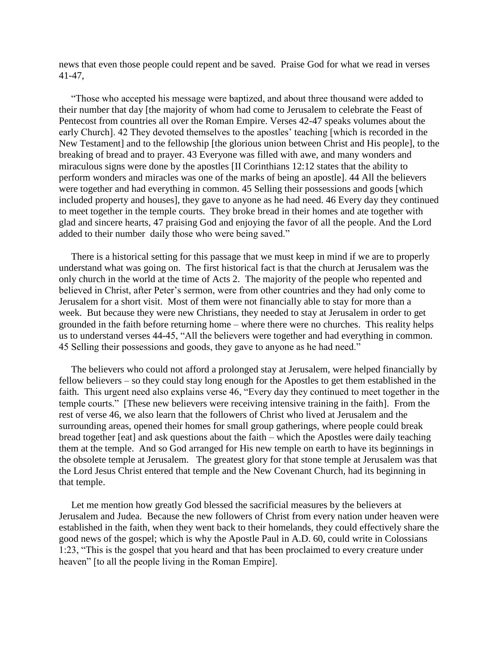news that even those people could repent and be saved. Praise God for what we read in verses 41-47,

"Those who accepted his message were baptized, and about three thousand were added to their number that day [the majority of whom had come to Jerusalem to celebrate the Feast of Pentecost from countries all over the Roman Empire. Verses 42-47 speaks volumes about the early Church]. 42 They devoted themselves to the apostles' teaching [which is recorded in the New Testament] and to the fellowship [the glorious union between Christ and His people], to the breaking of bread and to prayer. 43 Everyone was filled with awe, and many wonders and miraculous signs were done by the apostles [II Corinthians 12:12 states that the ability to perform wonders and miracles was one of the marks of being an apostle]. 44 All the believers were together and had everything in common. 45 Selling their possessions and goods [which included property and houses], they gave to anyone as he had need. 46 Every day they continued to meet together in the temple courts. They broke bread in their homes and ate together with glad and sincere hearts, 47 praising God and enjoying the favor of all the people. And the Lord added to their number daily those who were being saved."

There is a historical setting for this passage that we must keep in mind if we are to properly understand what was going on. The first historical fact is that the church at Jerusalem was the only church in the world at the time of Acts 2. The majority of the people who repented and believed in Christ, after Peter's sermon, were from other countries and they had only come to Jerusalem for a short visit. Most of them were not financially able to stay for more than a week. But because they were new Christians, they needed to stay at Jerusalem in order to get grounded in the faith before returning home – where there were no churches. This reality helps us to understand verses 44-45, "All the believers were together and had everything in common. 45 Selling their possessions and goods, they gave to anyone as he had need."

The believers who could not afford a prolonged stay at Jerusalem, were helped financially by fellow believers – so they could stay long enough for the Apostles to get them established in the faith. This urgent need also explains verse 46, "Every day they continued to meet together in the temple courts." [These new believers were receiving intensive training in the faith]. From the rest of verse 46, we also learn that the followers of Christ who lived at Jerusalem and the surrounding areas, opened their homes for small group gatherings, where people could break bread together [eat] and ask questions about the faith – which the Apostles were daily teaching them at the temple. And so God arranged for His new temple on earth to have its beginnings in the obsolete temple at Jerusalem. The greatest glory for that stone temple at Jerusalem was that the Lord Jesus Christ entered that temple and the New Covenant Church, had its beginning in that temple.

Let me mention how greatly God blessed the sacrificial measures by the believers at Jerusalem and Judea. Because the new followers of Christ from every nation under heaven were established in the faith, when they went back to their homelands, they could effectively share the good news of the gospel; which is why the Apostle Paul in A.D. 60, could write in Colossians 1:23, "This is the gospel that you heard and that has been proclaimed to every creature under heaven" *(to all the people living in the Roman Empire)*.